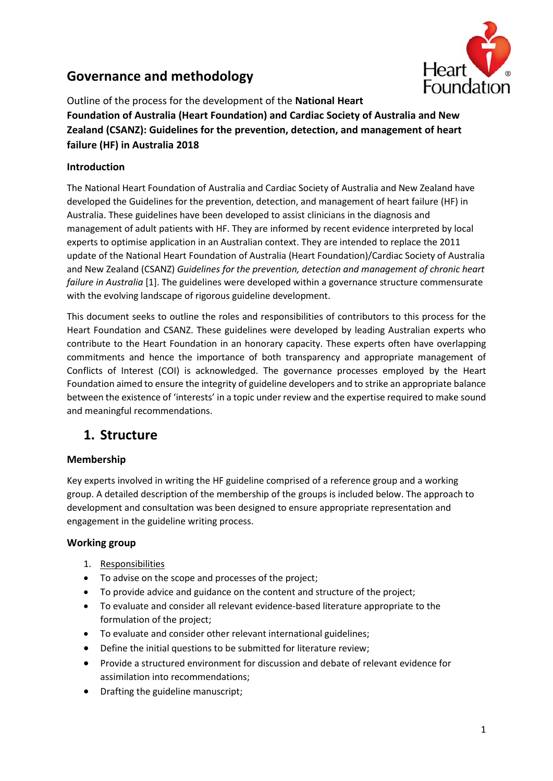# **Governance and methodology**



Outline of the process for the development of the **National Heart Foundation of Australia (Heart Foundation) and Cardiac Society of Australia and New Zealand (CSANZ): Guidelines for the prevention, detection, and management of heart failure (HF) in Australia 2018**

## **Introduction**

The National Heart Foundation of Australia and Cardiac Society of Australia and New Zealand have developed the Guidelines for the prevention, detection, and management of heart failure (HF) in Australia. These guidelines have been developed to assist clinicians in the diagnosis and management of adult patients with HF. They are informed by recent evidence interpreted by local experts to optimise application in an Australian context. They are intended to replace the 2011 update of the National Heart Foundation of Australia (Heart Foundation)/Cardiac Society of Australia and New Zealand (CSANZ) *Guidelines for the prevention, detection and management of chronic heart failure in Australia* [1]. The guidelines were developed within a governance structure commensurate with the evolving landscape of rigorous guideline development.

This document seeks to outline the roles and responsibilities of contributors to this process for the Heart Foundation and CSANZ. These guidelines were developed by leading Australian experts who contribute to the Heart Foundation in an honorary capacity. These experts often have overlapping commitments and hence the importance of both transparency and appropriate management of Conflicts of Interest (COI) is acknowledged. The governance processes employed by the Heart Foundation aimed to ensure the integrity of guideline developers and to strike an appropriate balance between the existence of 'interests' in a topic under review and the expertise required to make sound and meaningful recommendations.

# **1. Structure**

## **Membership**

Key experts involved in writing the HF guideline comprised of a reference group and a working group. A detailed description of the membership of the groups is included below. The approach to development and consultation was been designed to ensure appropriate representation and engagement in the guideline writing process.

## **Working group**

- 1. Responsibilities
- To advise on the scope and processes of the project;
- To provide advice and guidance on the content and structure of the project;
- To evaluate and consider all relevant evidence-based literature appropriate to the formulation of the project;
- To evaluate and consider other relevant international guidelines;
- Define the initial questions to be submitted for literature review;
- Provide a structured environment for discussion and debate of relevant evidence for assimilation into recommendations;
- Drafting the guideline manuscript;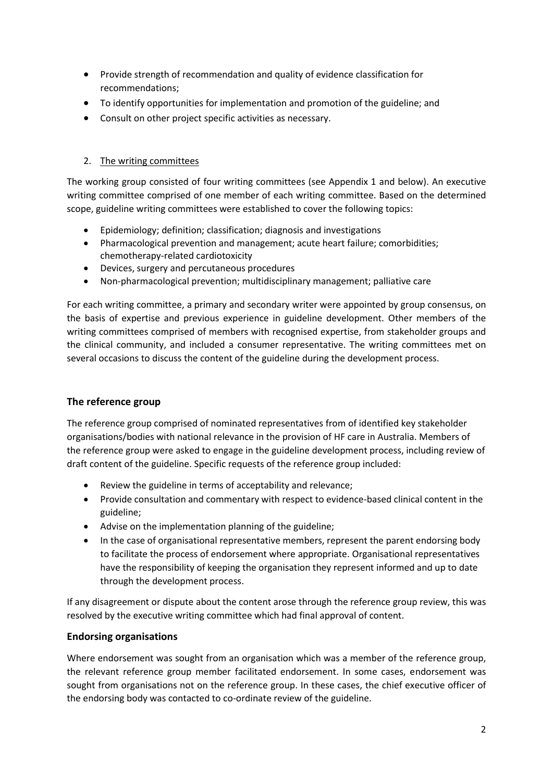- Provide strength of recommendation and quality of evidence classification for recommendations;
- To identify opportunities for implementation and promotion of the guideline; and
- Consult on other project specific activities as necessary.

## 2. The writing committees

The working group consisted of four writing committees (see Appendix 1 and below). An executive writing committee comprised of one member of each writing committee. Based on the determined scope, guideline writing committees were established to cover the following topics:

- Epidemiology; definition; classification; diagnosis and investigations
- Pharmacological prevention and management; acute heart failure; comorbidities; chemotherapy-related cardiotoxicity
- Devices, surgery and percutaneous procedures
- Non-pharmacological prevention; multidisciplinary management; palliative care

For each writing committee, a primary and secondary writer were appointed by group consensus, on the basis of expertise and previous experience in guideline development. Other members of the writing committees comprised of members with recognised expertise, from stakeholder groups and the clinical community, and included a consumer representative. The writing committees met on several occasions to discuss the content of the guideline during the development process.

## **The reference group**

The reference group comprised of nominated representatives from of identified key stakeholder organisations/bodies with national relevance in the provision of HF care in Australia. Members of the reference group were asked to engage in the guideline development process, including review of draft content of the guideline. Specific requests of the reference group included:

- Review the guideline in terms of acceptability and relevance;
- Provide consultation and commentary with respect to evidence-based clinical content in the guideline;
- Advise on the implementation planning of the guideline;
- In the case of organisational representative members, represent the parent endorsing body to facilitate the process of endorsement where appropriate. Organisational representatives have the responsibility of keeping the organisation they represent informed and up to date through the development process.

If any disagreement or dispute about the content arose through the reference group review, this was resolved by the executive writing committee which had final approval of content.

## **Endorsing organisations**

Where endorsement was sought from an organisation which was a member of the reference group, the relevant reference group member facilitated endorsement. In some cases, endorsement was sought from organisations not on the reference group. In these cases, the chief executive officer of the endorsing body was contacted to co-ordinate review of the guideline.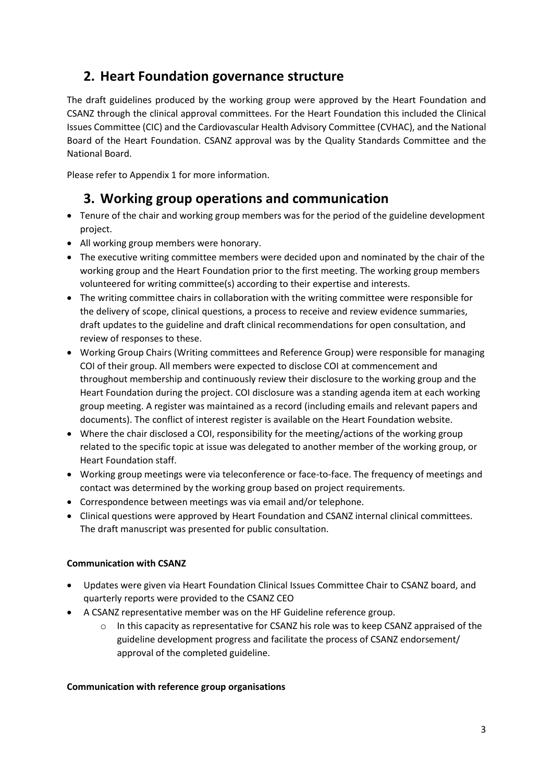# **2. Heart Foundation governance structure**

The draft guidelines produced by the working group were approved by the Heart Foundation and CSANZ through the clinical approval committees. For the Heart Foundation this included the Clinical Issues Committee (CIC) and the Cardiovascular Health Advisory Committee (CVHAC), and the National Board of the Heart Foundation. CSANZ approval was by the Quality Standards Committee and the National Board.

Please refer to Appendix 1 for more information.

# **3. Working group operations and communication**

- Tenure of the chair and working group members was for the period of the guideline development project.
- All working group members were honorary.
- The executive writing committee members were decided upon and nominated by the chair of the working group and the Heart Foundation prior to the first meeting. The working group members volunteered for writing committee(s) according to their expertise and interests.
- The writing committee chairs in collaboration with the writing committee were responsible for the delivery of scope, clinical questions, a process to receive and review evidence summaries, draft updates to the guideline and draft clinical recommendations for open consultation, and review of responses to these.
- Working Group Chairs (Writing committees and Reference Group) were responsible for managing COI of their group. All members were expected to disclose COI at commencement and throughout membership and continuously review their disclosure to the working group and the Heart Foundation during the project. COI disclosure was a standing agenda item at each working group meeting. A register was maintained as a record (including emails and relevant papers and documents). The conflict of interest register is available on the Heart Foundation website.
- Where the chair disclosed a COI, responsibility for the meeting/actions of the working group related to the specific topic at issue was delegated to another member of the working group, or Heart Foundation staff.
- Working group meetings were via teleconference or face-to-face. The frequency of meetings and contact was determined by the working group based on project requirements.
- Correspondence between meetings was via email and/or telephone.
- Clinical questions were approved by Heart Foundation and CSANZ internal clinical committees. The draft manuscript was presented for public consultation.

## **Communication with CSANZ**

- Updates were given via Heart Foundation Clinical Issues Committee Chair to CSANZ board, and quarterly reports were provided to the CSANZ CEO
- A CSANZ representative member was on the HF Guideline reference group.
	- $\circ$  In this capacity as representative for CSANZ his role was to keep CSANZ appraised of the guideline development progress and facilitate the process of CSANZ endorsement/ approval of the completed guideline.

## **Communication with reference group organisations**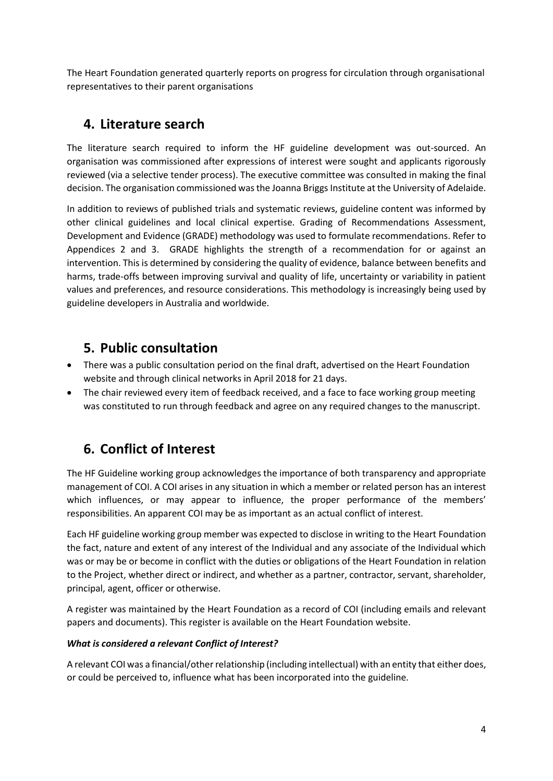The Heart Foundation generated quarterly reports on progress for circulation through organisational representatives to their parent organisations

# **4. Literature search**

The literature search required to inform the HF guideline development was out-sourced. An organisation was commissioned after expressions of interest were sought and applicants rigorously reviewed (via a selective tender process). The executive committee was consulted in making the final decision. The organisation commissioned was the Joanna Briggs Institute at the University of Adelaide.

In addition to reviews of published trials and systematic reviews, guideline content was informed by other clinical guidelines and local clinical expertise. Grading of Recommendations Assessment, Development and Evidence (GRADE) methodology was used to formulate recommendations. Refer to Appendices 2 and 3. GRADE highlights the strength of a recommendation for or against an intervention. This is determined by considering the quality of evidence, balance between benefits and harms, trade-offs between improving survival and quality of life, uncertainty or variability in patient values and preferences, and resource considerations. This methodology is increasingly being used by guideline developers in Australia and worldwide.

# **5. Public consultation**

- There was a public consultation period on the final draft, advertised on the Heart Foundation website and through clinical networks in April 2018 for 21 days.
- The chair reviewed every item of feedback received, and a face to face working group meeting was constituted to run through feedback and agree on any required changes to the manuscript.

# **6. Conflict of Interest**

The HF Guideline working group acknowledges the importance of both transparency and appropriate management of COI. A COI arises in any situation in which a member or related person has an interest which influences, or may appear to influence, the proper performance of the members' responsibilities. An apparent COI may be as important as an actual conflict of interest.

Each HF guideline working group member was expected to disclose in writing to the Heart Foundation the fact, nature and extent of any interest of the Individual and any associate of the Individual which was or may be or become in conflict with the duties or obligations of the Heart Foundation in relation to the Project, whether direct or indirect, and whether as a partner, contractor, servant, shareholder, principal, agent, officer or otherwise.

A register was maintained by the Heart Foundation as a record of COI (including emails and relevant papers and documents). This register is available on the Heart Foundation website.

# *What is considered a relevant Conflict of Interest?*

A relevant COI was a financial/other relationship (including intellectual) with an entity that either does, or could be perceived to, influence what has been incorporated into the guideline.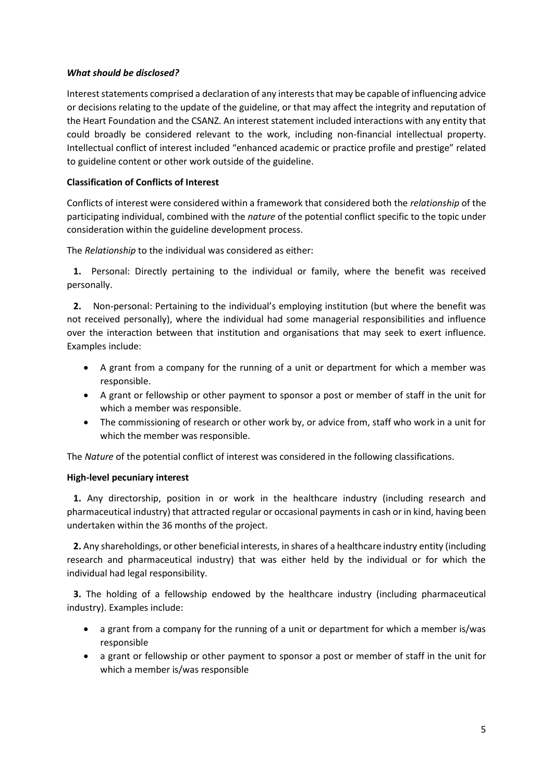#### *What should be disclosed?*

Interest statements comprised a declaration of any interests that may be capable of influencing advice or decisions relating to the update of the guideline, or that may affect the integrity and reputation of the Heart Foundation and the CSANZ. An interest statement included interactions with any entity that could broadly be considered relevant to the work, including non-financial intellectual property. Intellectual conflict of interest included "enhanced academic or practice profile and prestige" related to guideline content or other work outside of the guideline.

#### **Classification of Conflicts of Interest**

Conflicts of interest were considered within a framework that considered both the *relationship* of the participating individual, combined with the *nature* of the potential conflict specific to the topic under consideration within the guideline development process.

The *Relationship* to the individual was considered as either:

**1.** Personal: Directly pertaining to the individual or family, where the benefit was received personally.

**2.** Non-personal: Pertaining to the individual's employing institution (but where the benefit was not received personally), where the individual had some managerial responsibilities and influence over the interaction between that institution and organisations that may seek to exert influence. Examples include:

- A grant from a company for the running of a unit or department for which a member was responsible.
- A grant or fellowship or other payment to sponsor a post or member of staff in the unit for which a member was responsible.
- The commissioning of research or other work by, or advice from, staff who work in a unit for which the member was responsible.

The *Nature* of the potential conflict of interest was considered in the following classifications.

#### **High-level pecuniary interest**

**1.** Any directorship, position in or work in the healthcare industry (including research and pharmaceutical industry) that attracted regular or occasional payments in cash or in kind, having been undertaken within the 36 months of the project.

**2.** Any shareholdings, or other beneficial interests, in shares of a healthcare industry entity (including research and pharmaceutical industry) that was either held by the individual or for which the individual had legal responsibility.

**3.** The holding of a fellowship endowed by the healthcare industry (including pharmaceutical industry). Examples include:

- a grant from a company for the running of a unit or department for which a member is/was responsible
- a grant or fellowship or other payment to sponsor a post or member of staff in the unit for which a member is/was responsible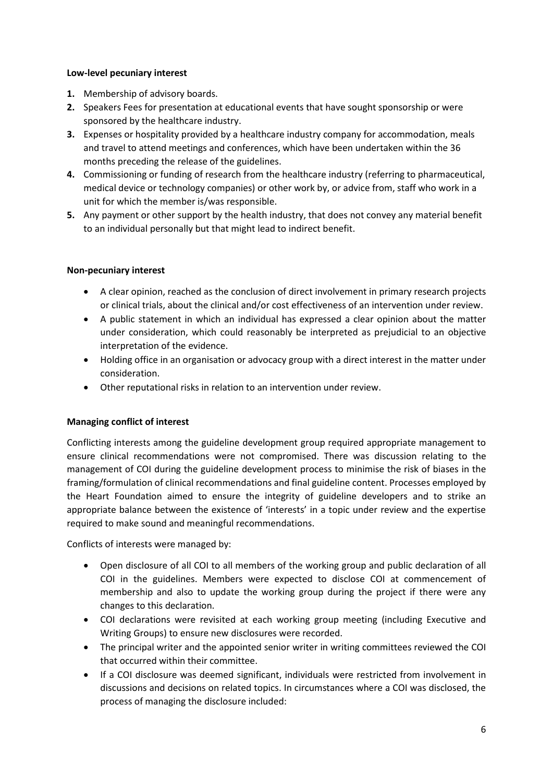#### **Low-level pecuniary interest**

- **1.** Membership of advisory boards.
- **2.** Speakers Fees for presentation at educational events that have sought sponsorship or were sponsored by the healthcare industry.
- **3.** Expenses or hospitality provided by a healthcare industry company for accommodation, meals and travel to attend meetings and conferences, which have been undertaken within the 36 months preceding the release of the guidelines.
- **4.** Commissioning or funding of research from the healthcare industry (referring to pharmaceutical, medical device or technology companies) or other work by, or advice from, staff who work in a unit for which the member is/was responsible.
- **5.** Any payment or other support by the health industry, that does not convey any material benefit to an individual personally but that might lead to indirect benefit.

## **Non-pecuniary interest**

- A clear opinion, reached as the conclusion of direct involvement in primary research projects or clinical trials, about the clinical and/or cost effectiveness of an intervention under review.
- A public statement in which an individual has expressed a clear opinion about the matter under consideration, which could reasonably be interpreted as prejudicial to an objective interpretation of the evidence.
- Holding office in an organisation or advocacy group with a direct interest in the matter under consideration.
- Other reputational risks in relation to an intervention under review.

## **Managing conflict of interest**

Conflicting interests among the guideline development group required appropriate management to ensure clinical recommendations were not compromised. There was discussion relating to the management of COI during the guideline development process to minimise the risk of biases in the framing/formulation of clinical recommendations and final guideline content. Processes employed by the Heart Foundation aimed to ensure the integrity of guideline developers and to strike an appropriate balance between the existence of 'interests' in a topic under review and the expertise required to make sound and meaningful recommendations.

Conflicts of interests were managed by:

- Open disclosure of all COI to all members of the working group and public declaration of all COI in the guidelines. Members were expected to disclose COI at commencement of membership and also to update the working group during the project if there were any changes to this declaration.
- COI declarations were revisited at each working group meeting (including Executive and Writing Groups) to ensure new disclosures were recorded.
- The principal writer and the appointed senior writer in writing committees reviewed the COI that occurred within their committee.
- If a COI disclosure was deemed significant, individuals were restricted from involvement in discussions and decisions on related topics. In circumstances where a COI was disclosed, the process of managing the disclosure included: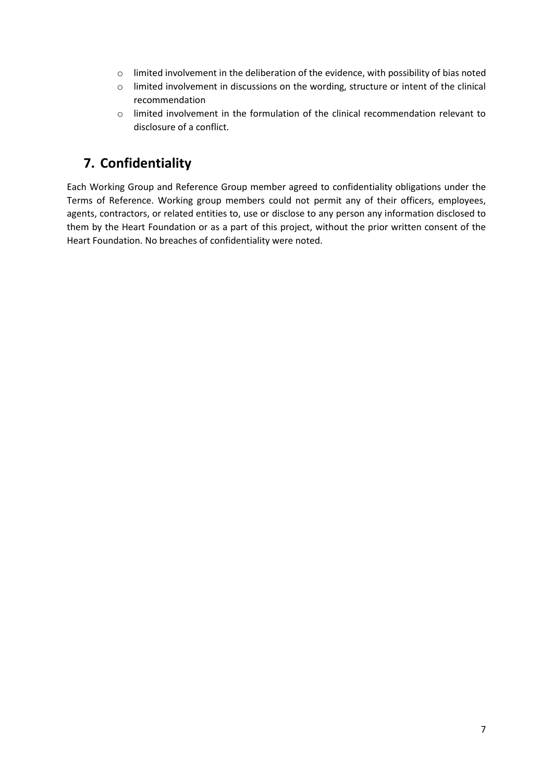- o limited involvement in the deliberation of the evidence, with possibility of bias noted
- o limited involvement in discussions on the wording, structure or intent of the clinical recommendation
- $\circ$  limited involvement in the formulation of the clinical recommendation relevant to disclosure of a conflict.

# **7. Confidentiality**

Each Working Group and Reference Group member agreed to confidentiality obligations under the Terms of Reference. Working group members could not permit any of their officers, employees, agents, contractors, or related entities to, use or disclose to any person any information disclosed to them by the Heart Foundation or as a part of this project, without the prior written consent of the Heart Foundation. No breaches of confidentiality were noted.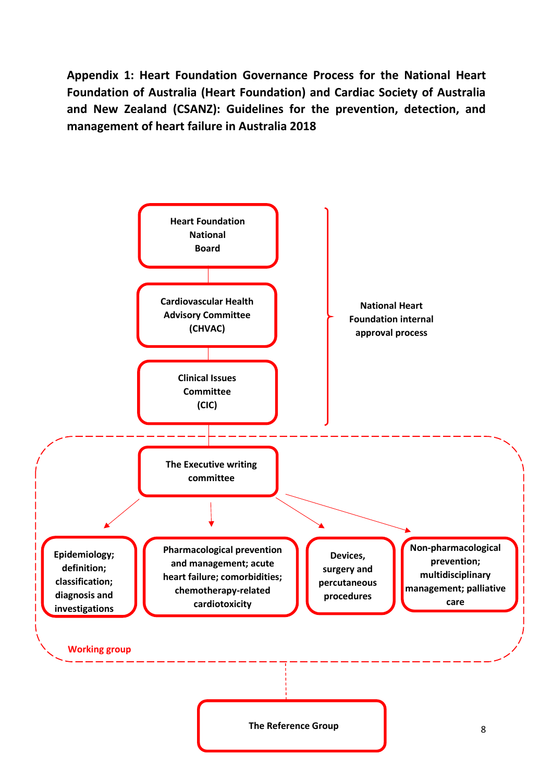**Appendix 1: Heart Foundation Governance Process for the National Heart Foundation of Australia (Heart Foundation) and Cardiac Society of Australia and New Zealand (CSANZ): Guidelines for the prevention, detection, and management of heart failure in Australia 2018**

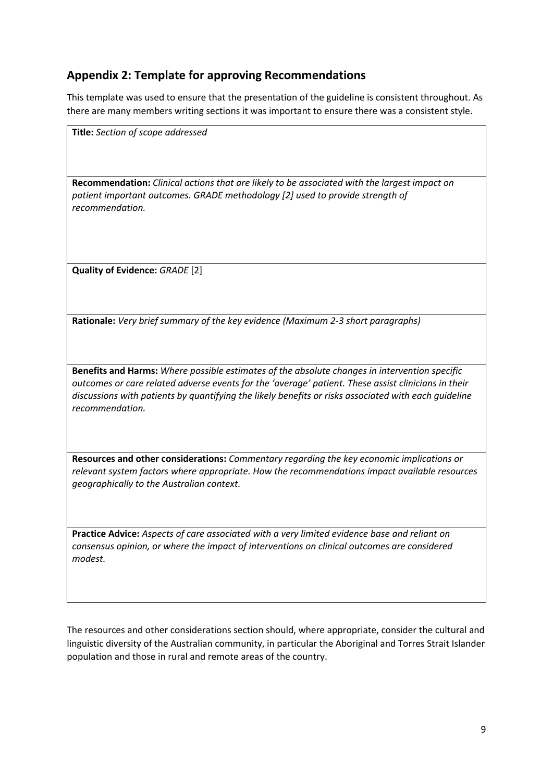# **Appendix 2: Template for approving Recommendations**

This template was used to ensure that the presentation of the guideline is consistent throughout. As there are many members writing sections it was important to ensure there was a consistent style.

| Title: Section of scope addressed                                                                                                                                                                                              |
|--------------------------------------------------------------------------------------------------------------------------------------------------------------------------------------------------------------------------------|
|                                                                                                                                                                                                                                |
| Recommendation: Clinical actions that are likely to be associated with the largest impact on<br>patient important outcomes. GRADE methodology [2] used to provide strength of<br>recommendation.                               |
| Quality of Evidence: GRADE [2]                                                                                                                                                                                                 |
|                                                                                                                                                                                                                                |
| Rationale: Very brief summary of the key evidence (Maximum 2-3 short paragraphs)                                                                                                                                               |
|                                                                                                                                                                                                                                |
| Benefits and Harms: Where possible estimates of the absolute changes in intervention specific                                                                                                                                  |
| outcomes or care related adverse events for the 'average' patient. These assist clinicians in their<br>discussions with patients by quantifying the likely benefits or risks associated with each guideline<br>recommendation. |
| Resources and other considerations: Commentary regarding the key economic implications or                                                                                                                                      |
| relevant system factors where appropriate. How the recommendations impact available resources<br>geographically to the Australian context.                                                                                     |
| Practice Advice: Aspects of care associated with a very limited evidence base and reliant on                                                                                                                                   |
| consensus opinion, or where the impact of interventions on clinical outcomes are considered<br>modest.                                                                                                                         |

The resources and other considerations section should, where appropriate, consider the cultural and linguistic diversity of the Australian community, in particular the Aboriginal and Torres Strait Islander population and those in rural and remote areas of the country.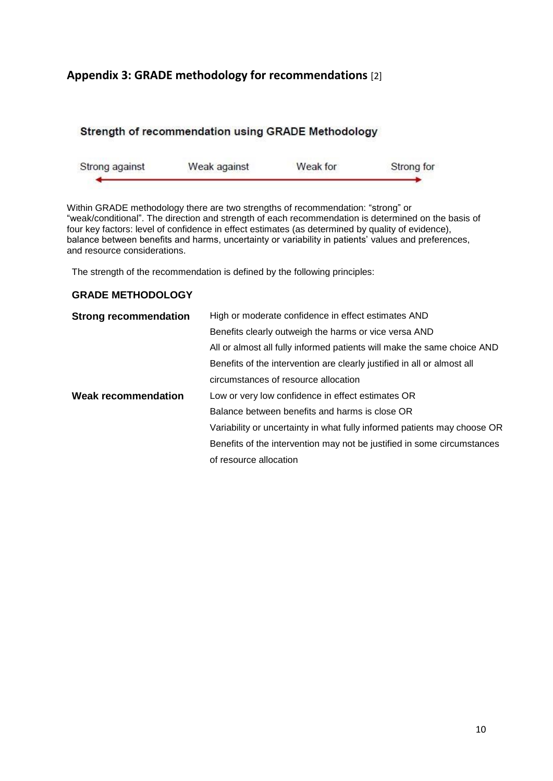# **Appendix 3: GRADE methodology for recommendations** [2]

## Strength of recommendation using GRADE Methodology

| Strong against | Weak against | Weak for | Strong for |
|----------------|--------------|----------|------------|
|                |              |          |            |

Within GRADE methodology there are two strengths of recommendation: "strong" or "weak/conditional". The direction and strength of each recommendation is determined on the basis of four key factors: level of confidence in effect estimates (as determined by quality of evidence), balance between benefits and harms, uncertainty or variability in patients' values and preferences, and resource considerations.

The strength of the recommendation is defined by the following principles:

#### **GRADE METHODOLOGY**

| <b>Strong recommendation</b> | High or moderate confidence in effect estimates AND                      |  |  |
|------------------------------|--------------------------------------------------------------------------|--|--|
|                              | Benefits clearly outweigh the harms or vice versa AND                    |  |  |
|                              | All or almost all fully informed patients will make the same choice AND  |  |  |
|                              | Benefits of the intervention are clearly justified in all or almost all  |  |  |
|                              | circumstances of resource allocation                                     |  |  |
| <b>Weak recommendation</b>   | Low or very low confidence in effect estimates OR                        |  |  |
|                              | Balance between benefits and harms is close OR                           |  |  |
|                              | Variability or uncertainty in what fully informed patients may choose OR |  |  |
|                              | Benefits of the intervention may not be justified in some circumstances  |  |  |
|                              | of resource allocation                                                   |  |  |